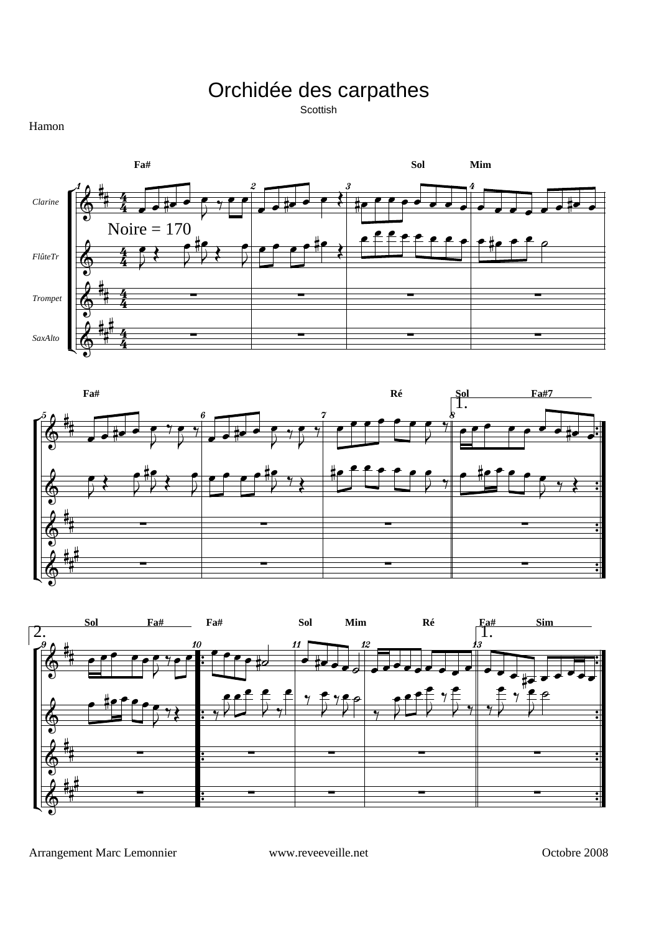Orchidée des carpathes

Scottish







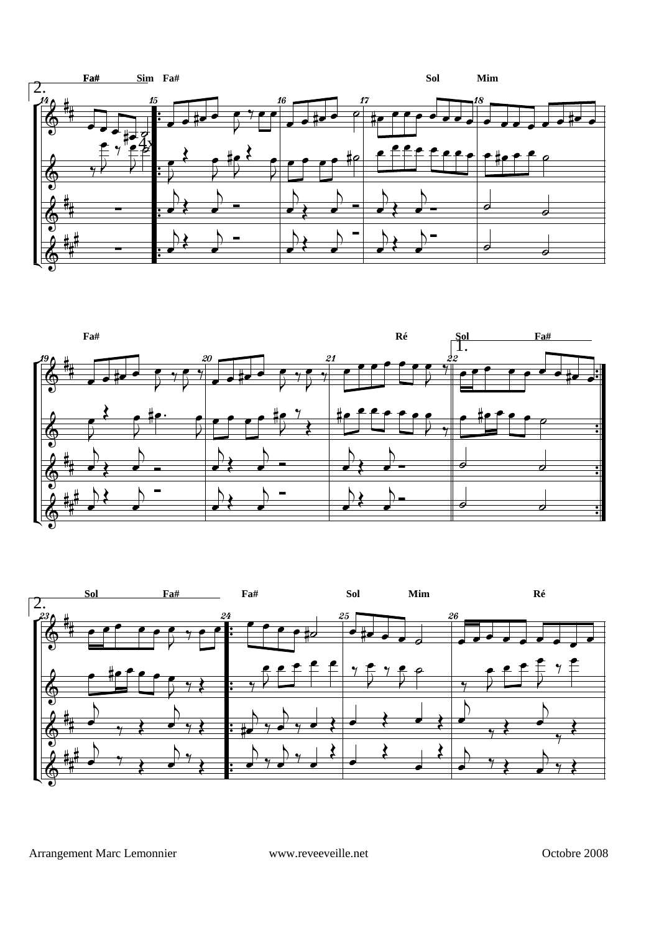